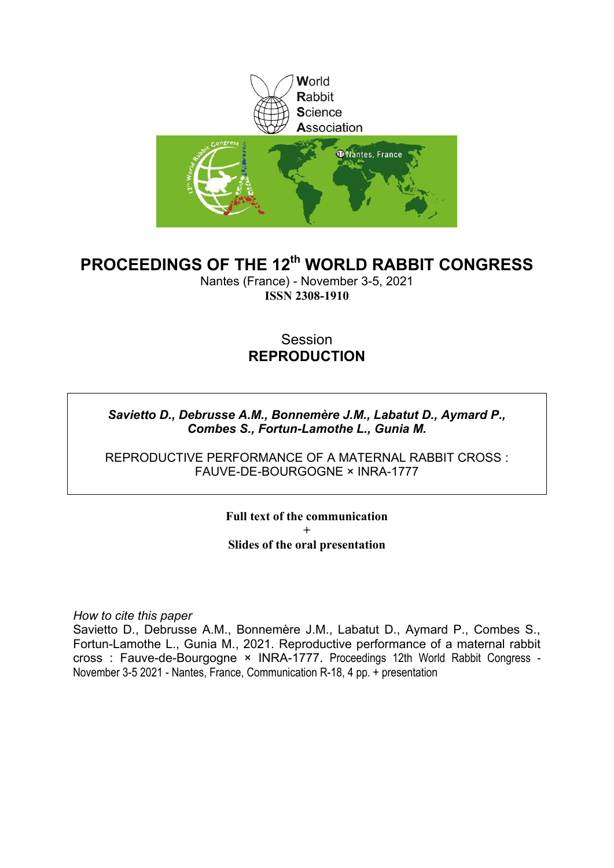

#### **PROCEEDINGS OF THE 12th WORLD RABBIT CONGRESS**

Nantes (France) - November 3-5, 2021 **ISSN 2308-1910**

#### Session **REPRODUCTION**

#### *Savietto D., Debrusse A.M., Bonnemère J.M., Labatut D., Aymard P., Combes S., Fortun-Lamothe L., Gunia M.*

REPRODUCTIVE PERFORMANCE OF A MATERNAL RABBIT CROSS : FAUVE-DE-BOURGOGNE × INRA-1777

> **Full text of the communication + Slides of the oral presentation**

*How to cite this paper*

Savietto D., Debrusse A.M., Bonnemère J.M., Labatut D., Aymard P., Combes S., Fortun-Lamothe L., Gunia M., 2021. Reproductive performance of a maternal rabbit cross : Fauve-de-Bourgogne × INRA-1777. Proceedings 12th World Rabbit Congress - November 3-5 2021 - Nantes, France, Communication R-18, 4 pp. + presentation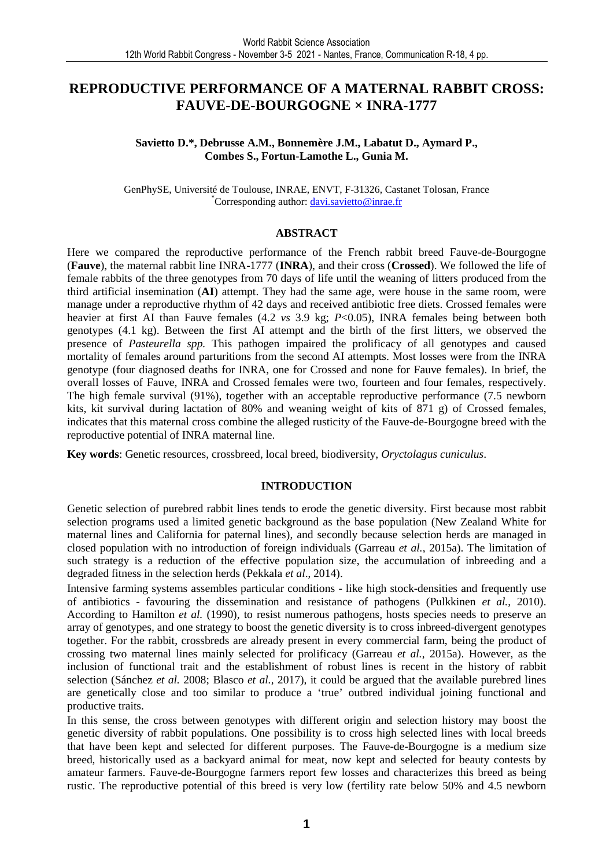#### **REPRODUCTIVE PERFORMANCE OF A MATERNAL RABBIT CROSS: FAUVE-DE-BOURGOGNE × INRA-1777**

#### **Savietto D.\*, Debrusse A.M., Bonnemère J.M., Labatut D., Aymard P., Combes S., Fortun-Lamothe L., Gunia M.**

GenPhySE, Université de Toulouse, INRAE, ENVT, F-31326, Castanet Tolosan, France \*Corresponding author: davi.savietto@inrae.fr

#### **ABSTRACT**

Here we compared the reproductive performance of the French rabbit breed Fauve-de-Bourgogne (**Fauve**), the maternal rabbit line INRA-1777 (**INRA**), and their cross (**Crossed**). We followed the life of female rabbits of the three genotypes from 70 days of life until the weaning of litters produced from the third artificial insemination (**AI**) attempt. They had the same age, were house in the same room, were manage under a reproductive rhythm of 42 days and received antibiotic free diets. Crossed females were heavier at first AI than Fauve females (4.2 *vs* 3.9 kg; *P*<0.05), INRA females being between both genotypes (4.1 kg). Between the first AI attempt and the birth of the first litters, we observed the presence of *Pasteurella spp.* This pathogen impaired the prolificacy of all genotypes and caused mortality of females around parturitions from the second AI attempts. Most losses were from the INRA genotype (four diagnosed deaths for INRA, one for Crossed and none for Fauve females). In brief, the overall losses of Fauve, INRA and Crossed females were two, fourteen and four females, respectively. The high female survival (91%), together with an acceptable reproductive performance (7.5 newborn kits, kit survival during lactation of 80% and weaning weight of kits of 871 g) of Crossed females, indicates that this maternal cross combine the alleged rusticity of the Fauve-de-Bourgogne breed with the reproductive potential of INRA maternal line.

**Key words**: Genetic resources, crossbreed, local breed, biodiversity, *Oryctolagus cuniculus*.

#### **INTRODUCTION**

Genetic selection of purebred rabbit lines tends to erode the genetic diversity. First because most rabbit selection programs used a limited genetic background as the base population (New Zealand White for maternal lines and California for paternal lines), and secondly because selection herds are managed in closed population with no introduction of foreign individuals (Garreau *et al.*, 2015a). The limitation of such strategy is a reduction of the effective population size, the accumulation of inbreeding and a degraded fitness in the selection herds (Pekkala *et al*., 2014).

Intensive farming systems assembles particular conditions - like high stock-densities and frequently use of antibiotics - favouring the dissemination and resistance of pathogens (Pulkkinen *et al.*, 2010). According to Hamilton *et al.* (1990), to resist numerous pathogens, hosts species needs to preserve an array of genotypes, and one strategy to boost the genetic diversity is to cross inbreed-divergent genotypes together. For the rabbit, crossbreds are already present in every commercial farm, being the product of crossing two maternal lines mainly selected for prolificacy (Garreau *et al.*, 2015a). However, as the inclusion of functional trait and the establishment of robust lines is recent in the history of rabbit selection (Sánchez *et al.* 2008; Blasco *et al.,* 2017), it could be argued that the available purebred lines are genetically close and too similar to produce a 'true' outbred individual joining functional and productive traits.

In this sense, the cross between genotypes with different origin and selection history may boost the genetic diversity of rabbit populations. One possibility is to cross high selected lines with local breeds that have been kept and selected for different purposes. The Fauve-de-Bourgogne is a medium size breed, historically used as a backyard animal for meat, now kept and selected for beauty contests by amateur farmers. Fauve-de-Bourgogne farmers report few losses and characterizes this breed as being rustic. The reproductive potential of this breed is very low (fertility rate below 50% and 4.5 newborn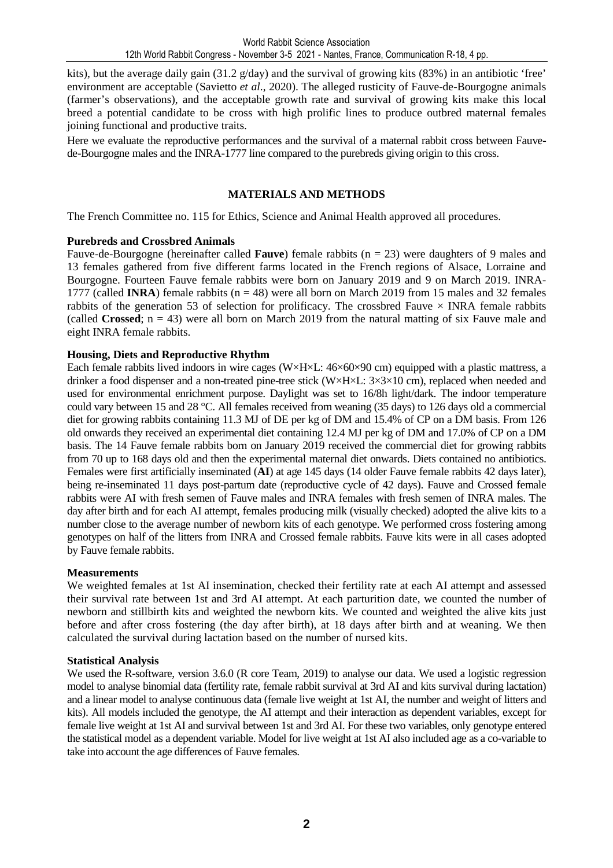kits), but the average daily gain (31.2 g/day) and the survival of growing kits (83%) in an antibiotic 'free' environment are acceptable (Savietto *et al*., 2020). The alleged rusticity of Fauve-de-Bourgogne animals (farmer's observations), and the acceptable growth rate and survival of growing kits make this local breed a potential candidate to be cross with high prolific lines to produce outbred maternal females joining functional and productive traits.

Here we evaluate the reproductive performances and the survival of a maternal rabbit cross between Fauvede-Bourgogne males and the INRA-1777 line compared to the purebreds giving origin to this cross.

#### **MATERIALS AND METHODS**

The French Committee no. 115 for Ethics, Science and Animal Health approved all procedures.

#### **Purebreds and Crossbred Animals**

Fauve-de-Bourgogne (hereinafter called **Fauve**) female rabbits (n = 23) were daughters of 9 males and 13 females gathered from five different farms located in the French regions of Alsace, Lorraine and Bourgogne. Fourteen Fauve female rabbits were born on January 2019 and 9 on March 2019. INRA-1777 (called **INRA**) female rabbits  $(n = 48)$  were all born on March 2019 from 15 males and 32 females rabbits of the generation 53 of selection for prolificacy. The crossbred Fauve  $\times$  INRA female rabbits (called **Crossed**;  $n = 43$ ) were all born on March 2019 from the natural matting of six Fauve male and eight INRA female rabbits.

#### **Housing, Diets and Reproductive Rhythm**

Each female rabbits lived indoors in wire cages  $(W \times H \times L: 46 \times 60 \times 90 \text{ cm})$  equipped with a plastic mattress, a drinker a food dispenser and a non-treated pine-tree stick (W×H×L: 3×3×10 cm), replaced when needed and used for environmental enrichment purpose. Daylight was set to 16/8h light/dark. The indoor temperature could vary between 15 and 28 °C. All females received from weaning (35 days) to 126 days old a commercial diet for growing rabbits containing 11.3 MJ of DE per kg of DM and 15.4% of CP on a DM basis. From 126 old onwards they received an experimental diet containing 12.4 MJ per kg of DM and 17.0% of CP on a DM basis. The 14 Fauve female rabbits born on January 2019 received the commercial diet for growing rabbits from 70 up to 168 days old and then the experimental maternal diet onwards. Diets contained no antibiotics. Females were first artificially inseminated (**AI**) at age 145 days (14 older Fauve female rabbits 42 days later), being re-inseminated 11 days post-partum date (reproductive cycle of 42 days). Fauve and Crossed female rabbits were AI with fresh semen of Fauve males and INRA females with fresh semen of INRA males. The day after birth and for each AI attempt, females producing milk (visually checked) adopted the alive kits to a number close to the average number of newborn kits of each genotype. We performed cross fostering among genotypes on half of the litters from INRA and Crossed female rabbits. Fauve kits were in all cases adopted by Fauve female rabbits.

#### **Measurements**

We weighted females at 1st AI insemination, checked their fertility rate at each AI attempt and assessed their survival rate between 1st and 3rd AI attempt. At each parturition date, we counted the number of newborn and stillbirth kits and weighted the newborn kits. We counted and weighted the alive kits just before and after cross fostering (the day after birth), at 18 days after birth and at weaning. We then calculated the survival during lactation based on the number of nursed kits.

#### **Statistical Analysis**

We used the R-software, version 3.6.0 (R core Team, 2019) to analyse our data. We used a logistic regression model to analyse binomial data (fertility rate, female rabbit survival at 3rd AI and kits survival during lactation) and a linear model to analyse continuous data (female live weight at 1st AI, the number and weight of litters and kits). All models included the genotype, the AI attempt and their interaction as dependent variables, except for female live weight at 1st AI and survival between 1st and 3rd AI. For these two variables, only genotype entered the statistical model as a dependent variable. Model for live weight at 1st AI also included age as a co-variable to take into account the age differences of Fauve females.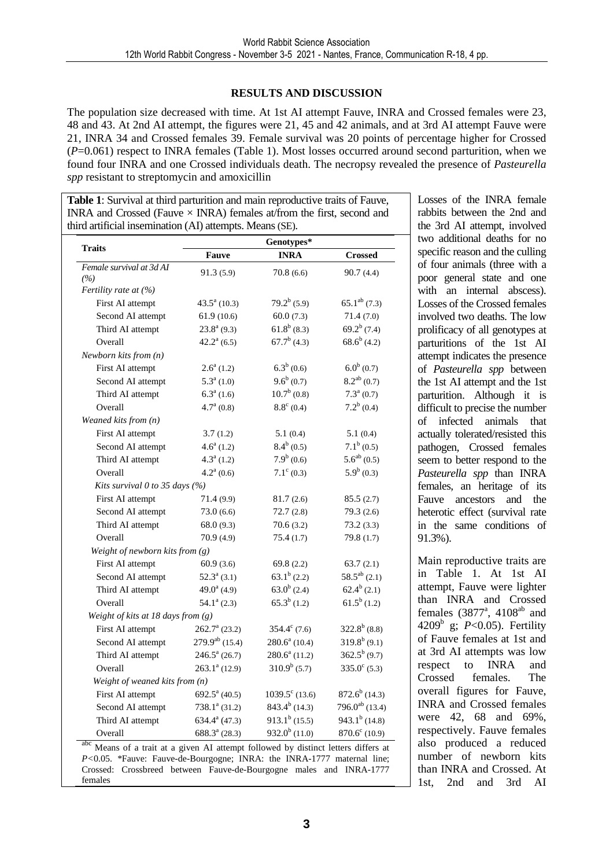#### **RESULTS AND DISCUSSION**

The population size decreased with time. At 1st AI attempt Fauve, INRA and Crossed females were 23, 48 and 43. At 2nd AI attempt, the figures were 21, 45 and 42 animals, and at 3rd AI attempt Fauve were 21, INRA 34 and Crossed females 39. Female survival was 20 points of percentage higher for Crossed (*P*=0.061) respect to INRA females (Table 1). Most losses occurred around second parturition, when we found four INRA and one Crossed individuals death. The necropsy revealed the presence of *Pasteurella spp* resistant to streptomycin and amoxicillin

**Table 1**: Survival at third parturition and main reproductive traits of Fauve, INRA and Crossed (Fauve  $\times$  INRA) females at/from the first, second and third artificial insemination (AI) attempts. Means (SE).

| <b>Traits</b>                             |                             | Genotypes*              |                            |  |  |  |
|-------------------------------------------|-----------------------------|-------------------------|----------------------------|--|--|--|
|                                           | <b>Fauve</b>                | <b>INRA</b>             | <b>Crossed</b>             |  |  |  |
| Female survival at 3d AI<br>(%)           | 91.3(5.9)                   | 70.8(6.6)               | 90.7(4.4)                  |  |  |  |
| Fertility rate at $(%)$                   |                             |                         |                            |  |  |  |
| First AI attempt                          | $43.5^{\mathrm{a}}$ (10.3)  | $79.2^b(5.9)$           | $65.1^{ab}$ (7.3)          |  |  |  |
| Second AI attempt                         | 61.9(10.6)                  | 60.0(7.3)               | 71.4(7.0)                  |  |  |  |
| Third AI attempt                          | $23.8^{\rm a}$ (9.3)        | $61.8^b(8.3)$           | $69.2^b$ (7.4)             |  |  |  |
| Overall                                   | $42.2^{\mathrm{a}}$ (6.5)   | $67.7^b$ (4.3)          | $68.6^b$ (4.2)             |  |  |  |
| Newborn kits from $(n)$                   |                             |                         |                            |  |  |  |
| First AI attempt                          | $2.6^a(1.2)$                | $6.3^b(0.6)$            | $6.0^b(0.7)$               |  |  |  |
| Second AI attempt                         | $5.3^a(1.0)$                | $9.6^b(0.7)$            | $8.2^{ab}$ (0.7)           |  |  |  |
| Third AI attempt                          | $6.3^a(1.6)$                | $10.7^{\rm b}$ (0.8)    | $7.3^a(0.7)$               |  |  |  |
| Overall                                   | $4.7^{\mathrm{a}}$ (0.8)    | $8.8^{\circ}$ (0.4)     | $7.2^b(0.4)$               |  |  |  |
| Weaned kits from (n)                      |                             |                         |                            |  |  |  |
| First AI attempt                          | 3.7(1.2)                    | 5.1(0.4)                | 5.1(0.4)                   |  |  |  |
| Second AI attempt                         | $4.6^a(1.2)$                | $8.4^b(0.5)$            | $7.1^b(0.5)$               |  |  |  |
| Third AI attempt                          | $4.3^a(1.2)$                | 7.9 <sup>b</sup> (0.6)  | $5.6^{ab}$ (0.5)           |  |  |  |
| Overall                                   | $4.2^{\mathrm{a}}(0.6)$     | $7.1^{\circ}$ (0.3)     | $5.9b$ (0.3)               |  |  |  |
| Kits survival 0 to 35 days (%)            |                             |                         |                            |  |  |  |
| First AI attempt                          | 71.4 (9.9)                  | 81.7(2.6)               | 85.5(2.7)                  |  |  |  |
| Second AI attempt                         | 73.0(6.6)                   | 72.7(2.8)               | 79.3(2.6)                  |  |  |  |
| Third AI attempt                          | 68.0(9.3)                   | 70.6(3.2)               | 73.2(3.3)                  |  |  |  |
| Overall                                   | 70.9(4.9)                   | 75.4(1.7)               | 79.8 (1.7)                 |  |  |  |
| Weight of newborn kits from $(g)$         |                             |                         |                            |  |  |  |
| First AI attempt                          | 60.9(3.6)                   | 69.8 $(2.2)$            | 63.7(2.1)                  |  |  |  |
| Second AI attempt                         | $52.3^{\circ}$ (3.1)        | $63.1^b$ (2.2)          | $58.5^{ab}$ (2.1)          |  |  |  |
| Third AI attempt                          | $49.0^a$ (4.9)              | $63.0^b$ (2.4)          | $62.4^b$ (2.1)             |  |  |  |
| Overall                                   | $54.1^a$ (2.3)              | $65.3^b(1.2)$           | $61.5^b(1.2)$              |  |  |  |
| Weight of kits at 18 days from (g)        |                             |                         |                            |  |  |  |
| First AI attempt                          | $262.7^{\mathrm{a}}$ (23.2) | $354.4^{\circ}$ (7.6)   | $322.8^b$ (8.8)            |  |  |  |
| Second AI attempt                         | $279.9^{ab}$ (15.4)         | $280.6^a$ (10.4)        | $319.8^b(9.1)$             |  |  |  |
| Third AI attempt                          | $246.5^{\mathrm{a}}$ (26.7) | $280.6^a$ (11.2)        | $362.5^{b}$ (9.7)          |  |  |  |
| Overall                                   | $263.1a$ (12.9)             | $310.9b$ (5.7)          | $335.0^{\circ}$ (5.3)      |  |  |  |
| Weight of weaned kits from (n)            |                             |                         |                            |  |  |  |
| First AI attempt $692.5^{\text{a}}(40.5)$ |                             | $1039.5^{\circ}$ (13.6) | $872.6^b$ (14.3)           |  |  |  |
| Second AI attempt                         | $738.1a$ (31.2)             | $843.4^{b}$ (14.3)      | 796.0 <sup>ab</sup> (13.4) |  |  |  |
|                                           | $634.4^a(47.3)$             | $913.1^b$ (15.5)        | $943.1^b$ (14.8)           |  |  |  |
| Third AI attempt                          |                             | $932.0^{b}$ (11.0)      | $870.6^{\circ}$ (10.9)     |  |  |  |

Losses of the INRA female rabbits between the 2nd and the 3rd AI attempt, involved two additional deaths for no specific reason and the culling of four animals (three with a poor general state and one with an internal abscess). Losses of the Crossed females involved two deaths. The low prolificacy of all genotypes at parturitions of the 1st AI attempt indicates the presence of *Pasteurella spp* between the 1st AI attempt and the 1st parturition. Although it is difficult to precise the number of infected animals that actually tolerated/resisted this pathogen*,* Crossed females seem to better respond to the *Pasteurella spp* than INRA females, an heritage of its Fauve ancestors and the heterotic effect (survival rate in the same conditions of 91.3%).

Main reproductive traits are in Table 1. At 1st AI attempt, Fauve were lighter than INRA and Crossed females  $(3877^{\degree}$ ,  $4108^{\degree}$  and 4209<sup>b</sup> g; *P*<0.05). Fertility of Fauve females at 1st and at 3rd AI attempts was low respect to INRA and Crossed females. The overall figures for Fauve, INRA and Crossed females were 42, 68 and 69%, respectively. Fauve females also produced a reduced number of newborn kits than INRA and Crossed. At 1st, 2nd and 3rd AI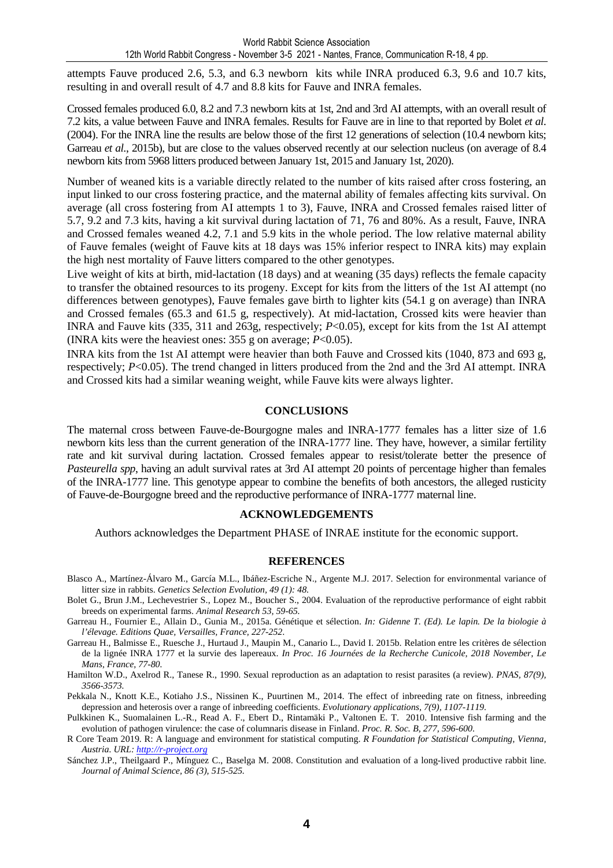attempts Fauve produced 2.6, 5.3, and 6.3 newborn kits while INRA produced 6.3, 9.6 and 10.7 kits, resulting in and overall result of 4.7 and 8.8 kits for Fauve and INRA females.

Crossed females produced 6.0, 8.2 and 7.3 newborn kits at 1st, 2nd and 3rd AI attempts, with an overall result of 7.2 kits, a value between Fauve and INRA females. Results for Fauve are in line to that reported by Bolet *et al*. (2004). For the INRA line the results are below those of the first 12 generations of selection (10.4 newborn kits; Garreau *et al.*, 2015b), but are close to the values observed recently at our selection nucleus (on average of 8.4 newborn kits from 5968 litters produced between January 1st, 2015 and January 1st, 2020).

Number of weaned kits is a variable directly related to the number of kits raised after cross fostering, an input linked to our cross fostering practice, and the maternal ability of females affecting kits survival. On average (all cross fostering from AI attempts 1 to 3), Fauve, INRA and Crossed females raised litter of 5.7, 9.2 and 7.3 kits, having a kit survival during lactation of 71, 76 and 80%. As a result, Fauve, INRA and Crossed females weaned 4.2, 7.1 and 5.9 kits in the whole period. The low relative maternal ability of Fauve females (weight of Fauve kits at 18 days was 15% inferior respect to INRA kits) may explain the high nest mortality of Fauve litters compared to the other genotypes.

Live weight of kits at birth, mid-lactation (18 days) and at weaning (35 days) reflects the female capacity to transfer the obtained resources to its progeny. Except for kits from the litters of the 1st AI attempt (no differences between genotypes), Fauve females gave birth to lighter kits (54.1 g on average) than INRA and Crossed females (65.3 and 61.5 g, respectively). At mid-lactation, Crossed kits were heavier than INRA and Fauve kits (335, 311 and 263g, respectively; *P*<0.05), except for kits from the 1st AI attempt (INRA kits were the heaviest ones: 355 g on average; *P*<0.05).

INRA kits from the 1st AI attempt were heavier than both Fauve and Crossed kits (1040, 873 and 693 g, respectively; *P*<0.05). The trend changed in litters produced from the 2nd and the 3rd AI attempt. INRA and Crossed kits had a similar weaning weight, while Fauve kits were always lighter.

#### **CONCLUSIONS**

The maternal cross between Fauve-de-Bourgogne males and INRA-1777 females has a litter size of 1.6 newborn kits less than the current generation of the INRA-1777 line. They have, however, a similar fertility rate and kit survival during lactation. Crossed females appear to resist/tolerate better the presence of *Pasteurella spp*, having an adult survival rates at 3rd AI attempt 20 points of percentage higher than females of the INRA-1777 line. This genotype appear to combine the benefits of both ancestors, the alleged rusticity of Fauve-de-Bourgogne breed and the reproductive performance of INRA-1777 maternal line.

#### **ACKNOWLEDGEMENTS**

Authors acknowledges the Department PHASE of INRAE institute for the economic support.

#### **REFERENCES**

- Blasco A., Martínez-Álvaro M., García M.L., Ibáñez-Escriche N., Argente M.J. 2017. Selection for environmental variance of litter size in rabbits. *Genetics Selection Evolution, 49 (1): 48.*
- Bolet G., Brun J.M., Lechevestrier S., Lopez M., Boucher S., 2004. Evaluation of the reproductive performance of eight rabbit breeds on experimental farms. *Animal Research 53, 59-65.*
- Garreau H., Fournier E., Allain D., Gunia M., 2015a. Génétique et sélection. *In: Gidenne T. (Ed). Le lapin. De la biologie à l'élevage. Editions Quae, Versailles, France, 227-252*.
- Garreau H., Balmisse E., Ruesche J., Hurtaud J., Maupin M., Canario L., David I. 2015b. Relation entre les critères de sélection de la lignée INRA 1777 et la survie des lapereaux. *In Proc. 16 Journées de la Recherche Cunicole, 2018 November, Le Mans, France, 77-80.*
- Hamilton W.D., Axelrod R., Tanese R., 1990. Sexual reproduction as an adaptation to resist parasites (a review). *PNAS, 87(9), 3566-3573.*
- Pekkala N., Knott K.E., Kotiaho J.S., Nissinen K., Puurtinen M., 2014. The effect of inbreeding rate on fitness, inbreeding depression and heterosis over a range of inbreeding coefficients. *Evolutionary applications, 7(9), 1107-1119.*
- Pulkkinen K., Suomalainen L.-R., Read A. F., Ebert D., Rintamäki P., Valtonen E. T. 2010. Intensive fish farming and the evolution of pathogen virulence: the case of columnaris disease in Finland. *Proc. R. Soc. B, 277, 596-600.*
- R Core Team 2019. R: A language and environment for statistical computing. *R Foundation for Statistical Computing, Vienna, Austria. URL: http://r-project.org*
- Sánchez J.P., Theilgaard P., Mínguez C., Baselga M. 2008. Constitution and evaluation of a long-lived productive rabbit line. *Journal of Animal Science, 86 (3), 515-525.*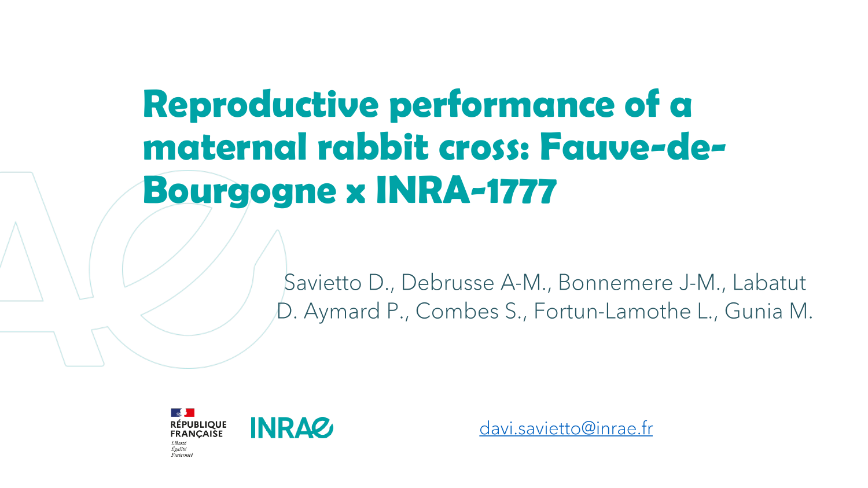# **Reproductive performance of a maternal rabbit cross: Fauve-de-Bourgogne x INRA-1777**

Savietto D., Debrusse A-M., Bonnemere J-M., Labatut D. Aymard P., Combes S., Fortun-Lamothe L., Gunia M.



davi.savietto@inrae.fr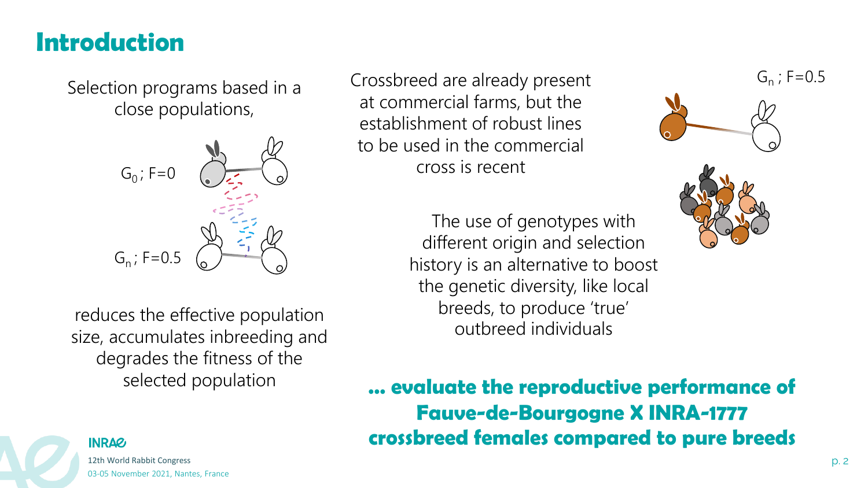### **Introduction**

Selection programs based in a close populations,



reduces the effective population size, accumulates inbreeding and degrades the fitness of the selected population

Crossbreed are already present at commercial farms, but the establishment of robust lines to be used in the commercial cross is recent

> The use of genotypes with different origin and selection history is an alternative to boost the genetic diversity, like local breeds, to produce 'true' outbreed individuals





**… evaluate the reproductive performance of Fauve-de-Bourgogne X INRA-1777 crossbreed females compared to pure breeds**



12th World Rabbit Congress p. 2 03-05 November 2021, Nantes, France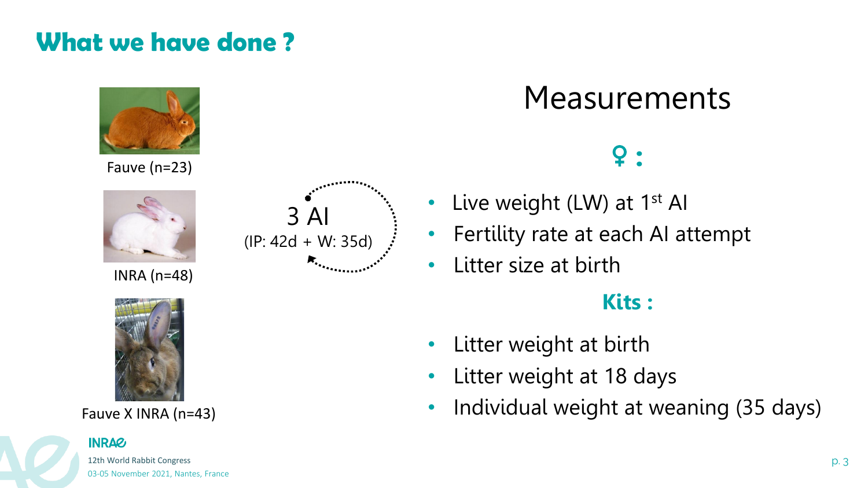## **What we have done ?**



Fauve (n=23)



INRA (n=48)



Fauve X INRA (n=43)

# 3 AI (IP: 42d + W: 35d)

## Measurements



- Live weight (LW) at 1<sup>st</sup> AI
- Fertility rate at each AI attempt
- Litter size at birth

### **Kits :**

- Litter weight at birth
- Litter weight at 18 days
- Individual weight at weaning (35 days)

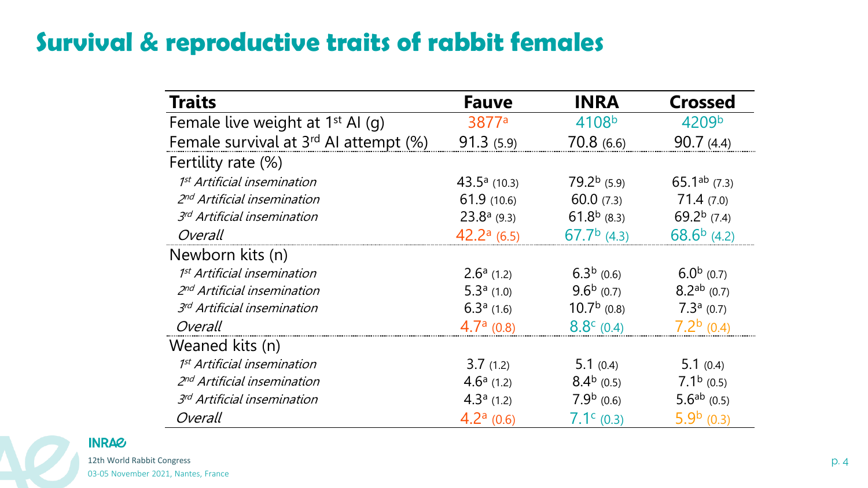## **Survival & reproductive traits of rabbit females**

| <b>Traits</b>                                     | <b>Fauve</b>      | <b>INRA</b>         | <b>Crossed</b>             |
|---------------------------------------------------|-------------------|---------------------|----------------------------|
| Female live weight at 1 <sup>st</sup> Al (g)      | 3877 <sup>a</sup> | 4108b               | 4209b                      |
| Female survival at 3 <sup>rd</sup> AI attempt (%) | 91.3(5.9)         | 70.8(6.6)           | 90.7(4.4)                  |
| Fertility rate (%)                                |                   |                     |                            |
| 1 <sup>st</sup> Artificial insemination           | $43.5a$ (10.3)    | $79.2b$ (5.9)       | 65.1 <sup>ab</sup> $(7.3)$ |
| 2 <sup>nd</sup> Artificial insemination           | 61.9(10.6)        | 60.0(7.3)           | 71.4(7.0)                  |
| 3rd Artificial insemination                       | $23.8a$ (9.3)     | $61.8b$ (8.3)       | 69.2 $^{b}$ (7.4)          |
| Overall                                           | $42.2a$ (6.5)     | $67.7b$ (4.3)       | $68.6b$ (4.2)              |
| Newborn kits (n)                                  |                   |                     |                            |
| 1 <sup>st</sup> Artificial insemination           | $2.6a$ (1.2)      | $6.3b$ (0.6)        | $6.0b$ (0.7)               |
| 2nd Artificial insemination                       | 5.3 $a(1.0)$      | $9.6b$ (0.7)        | $8.2^{ab}$ (0.7)           |
| 3rd Artificial insemination                       | $6.3a$ (1.6)      | $10.7b$ (0.8)       | $7.3a$ (0.7)               |
| Overall                                           | $4.7a$ (0.8)      | $8.8^{\circ}$ (0.4) | $7.2b$ (0.4)               |
| Weaned kits (n)                                   |                   |                     |                            |
| 1 <sup>st</sup> Artificial insemination           | 3.7(1.2)          | 5.1 $(0.4)$         | 5.1 $(0.4)$                |
| 2nd Artificial insemination                       | $4.6a$ (1.2)      | $8.4b$ (0.5)        | $7.1b$ (0.5)               |
| 3rd Artificial insemination                       | $4.3a$ (1.2)      | $7.9b$ (0.6)        | 5.6 <sup>ab</sup> $(0.5)$  |
| Overall                                           | $4.2a$ (0.6)      | $7.1c$ (0.3)        | $5.9b$ (0.3)               |

12th World Rabbit Congress p. 4

**INRAG** 

03-05 November 2021, Nantes, France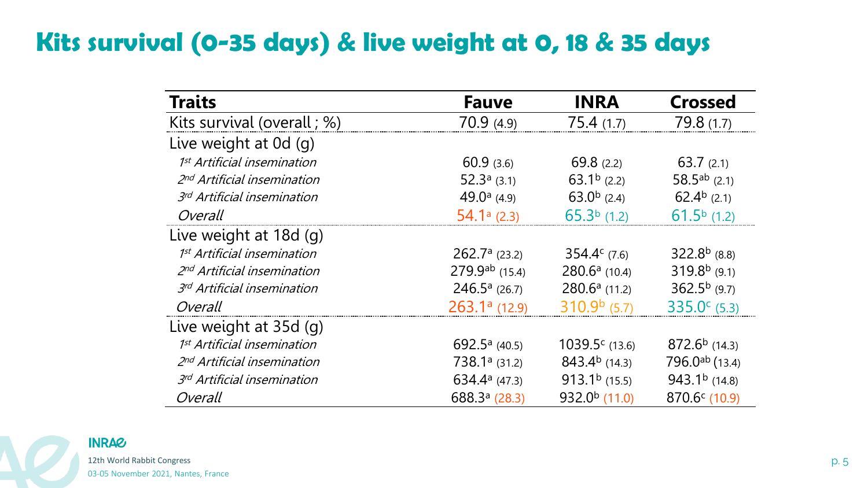## **Kits survival (0-35 days) & live weight at 0, 18 & 35 days**

| <b>Traits</b>                           | <b>Fauve</b>        | <b>INRA</b>           | <b>Crossed</b>        |
|-----------------------------------------|---------------------|-----------------------|-----------------------|
| Kits survival (overall; %)              | 70.9(4.9)           | 75.4(1.7)             | 79.8(1.7)             |
| Live weight at 0d (g)                   |                     |                       |                       |
| 1 <sup>st</sup> Artificial insemination | 60.9(3.6)           | 69.8(2.2)             | 63.7(2.1)             |
| 2 <sup>nd</sup> Artificial insemination | 52.3 $a$ (3.1)      | 63.1 $^{\rm b}$ (2.2) | 58.5ab $(2.1)$        |
| 3rd Artificial insemination             | 49.0 $^{a}$ (4.9)   | 63.0 $^{\rm b}$ (2.4) | 62.4 $^{b}$ (2.1)     |
| Overall                                 | $54.1a$ (2.3)       | $65.3b$ (1.2)         | $61.5b$ (1.2)         |
| Live weight at 18d (g)                  |                     |                       |                       |
| 1 <sup>st</sup> Artificial insemination | $262.7a$ (23.2)     | $354.4^c$ (7.6)       | $322.8b$ (8.8)        |
| 2nd Artificial insemination             | $279.9^{ab}$ (15.4) | $280.6^a$ (10.4)      | $319.8b$ (9.1)        |
| 3rd Artificial insemination             | $246.5a$ (26.7)     | $280.6a$ (11.2)       | $362.5b$ (9.7)        |
| Overall                                 | $263.1a$ (12.9)     | $310.9b$ (5.7)        | $335.0^{\circ}$ (5.3) |
| Live weight at 35d (g)                  |                     |                       |                       |
| 1 <sup>st</sup> Artificial insemination | 692.5 $a$ (40.5)    | $1039.5c$ (13.6)      | $872.6b$ (14.3)       |
| 2nd Artificial insemination             | $738.1a$ (31.2)     | $843.4b$ (14.3)       | $796.0^{ab}$ (13.4)   |
| 3rd Artificial insemination             | $634.4a$ (47.3)     | $913.1b$ (15.5)       | $943.1b$ (14.8)       |
| Overall                                 | $688.3a$ (28.3)     | $932.0b$ (11.0)       | 870.6c(10.9)          |